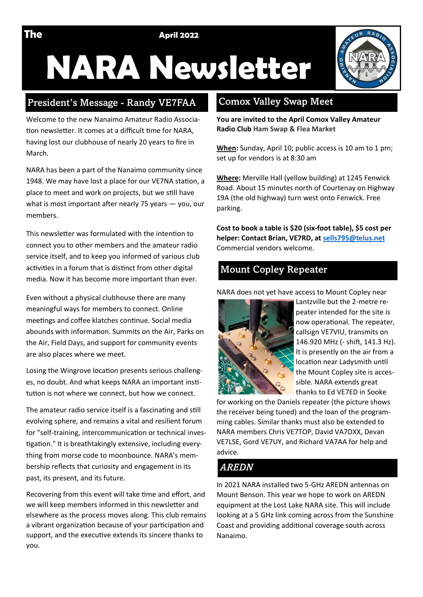**The April 2022** 

# **NARA Newsletter**

#### President's Message - Randy VE7FAA

Welcome to the new Nanaimo Amateur Radio Association newsletter. It comes at a difficult time for NARA, having lost our clubhouse of nearly 20 years to fire in March.

NARA has been a part of the Nanaimo community since 1948. We may have lost a place for our VE7NA station, a place to meet and work on projects, but we still have what is most important after nearly 75 years — you, our members.

This newsletter was formulated with the intention to connect you to other members and the amateur radio service itself, and to keep you informed of various club activities in a forum that is distinct from other digital media. Now it has become more important than ever.

Even without a physical clubhouse there are many meaningful ways for members to connect. Online meetings and coffee klatches continue. Social media abounds with information. Summits on the Air, Parks on the Air, Field Days, and support for community events are also places where we meet.

Losing the Wingrove location presents serious challenges, no doubt. And what keeps NARA an important institution is not where we connect, but how we connect.

The amateur radio service itself is a fascinating and still evolving sphere, and remains a vital and resilient forum for "self-training, intercommunication or technical investigation." It is breathtakingly extensive, including everything from morse code to moonbounce. NARA's membership reflects that curiosity and engagement in its past, its present, and its future.

Recovering from this event will take time and effort, and we will keep members informed in this newsletter and elsewhere as the process moves along. This club remains a vibrant organization because of your participation and support, and the executive extends its sincere thanks to you.

### Comox Valley Swap Meet

**You are invited to the April Comox Valley Amateur Radio Club Ham Swap & Flea Market**

**When:** Sunday, April 10; public access is 10 am to 1 pm; set up for vendors is at 8:30 am

**Where:** Merville Hall (yellow building) at 1245 Fenwick Road. About 15 minutes north of Courtenay on Highway 19A (the old highway) turn west onto Fenwick. Free parking.

**Cost to book a table is \$20 (six-foot table), \$5 cost per helper: Contact Brian, VE7RD, at [sells795@telus.net](mailto:sells795@telus.net)** Commercial vendors welcome.

# Mount Copley Repeater

NARA does not yet have access to Mount Copley near



Lantzville but the 2-metre repeater intended for the site is now operational. The repeater, callsign VE7VIU, transmits on 146.920 MHz (- shift, 141.3 Hz). It is presently on the air from a location near Ladysmith until the Mount Copley site is accessible. NARA extends great thanks to Ed VE7ED in Sooke

for working on the Daniels repeater (the picture shows the receiver being tuned) and the loan of the programming cables. Similar thanks must also be extended to NARA members Chris VE7TOP, David VA7DXX, Devan VE7LSE, Gord VE7UY, and Richard VA7AA for help and advice.

# *AREDN*

In 2021 NARA installed two 5-GHz AREDN antennas on Mount Benson. This year we hope to work on AREDN equipment at the Lost Lake NARA site. This will include looking at a 5 GHz link coming across from the Sunshine Coast and providing additional coverage south across Nanaimo.